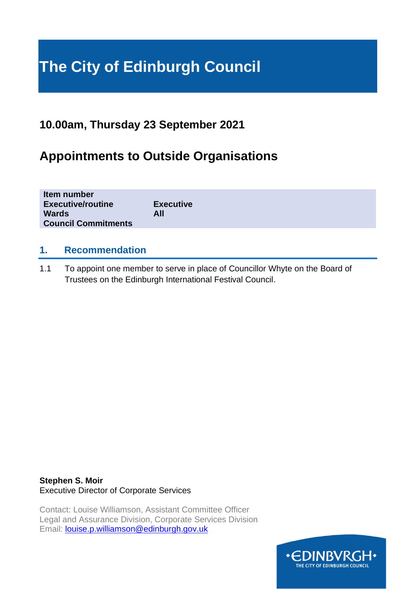# **The City of Edinburgh Council**

## **10.00am, Thursday 23 September 2021**

# **Appointments to Outside Organisations**

| Item number                |                  |
|----------------------------|------------------|
| <b>Executive/routine</b>   | <b>Executive</b> |
| <b>Wards</b>               | All              |
| <b>Council Commitments</b> |                  |

#### **1. Recommendation**

1.1 To appoint one member to serve in place of Councillor Whyte on the Board of Trustees on the Edinburgh International Festival Council.

**Stephen S. Moir** Executive Director of Corporate Services

Contact: Louise Williamson, Assistant Committee Officer Legal and Assurance Division, Corporate Services Division Email: [louise.p.williamson@edinburgh.gov.uk](mailto:louise.p.williamson@edinburgh.gov.uk)

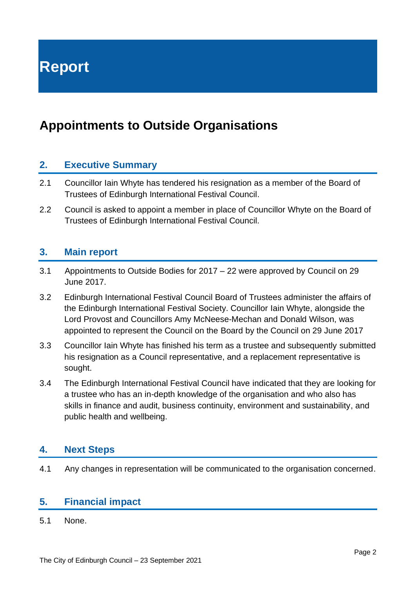**Report**

# **Appointments to Outside Organisations**

#### **2. Executive Summary**

- 2.1 Councillor Iain Whyte has tendered his resignation as a member of the Board of Trustees of Edinburgh International Festival Council.
- 2.2 Council is asked to appoint a member in place of Councillor Whyte on the Board of Trustees of Edinburgh International Festival Council.

#### **3. Main report**

- 3.1 Appointments to Outside Bodies for 2017 22 were approved by Council on 29 June 2017.
- 3.2 Edinburgh International Festival Council Board of Trustees administer the affairs of the Edinburgh International Festival Society. Councillor Iain Whyte, alongside the Lord Provost and Councillors Amy McNeese-Mechan and Donald Wilson, was appointed to represent the Council on the Board by the Council on 29 June 2017
- 3.3 Councillor Iain Whyte has finished his term as a trustee and subsequently submitted his resignation as a Council representative, and a replacement representative is sought.
- 3.4 The Edinburgh International Festival Council have indicated that they are looking for a trustee who has an in-depth knowledge of the organisation and who also has skills in finance and audit, business continuity, environment and sustainability, and public health and wellbeing.

#### **4. Next Steps**

4.1 Any changes in representation will be communicated to the organisation concerned.

#### **5. Financial impact**

5.1 None.